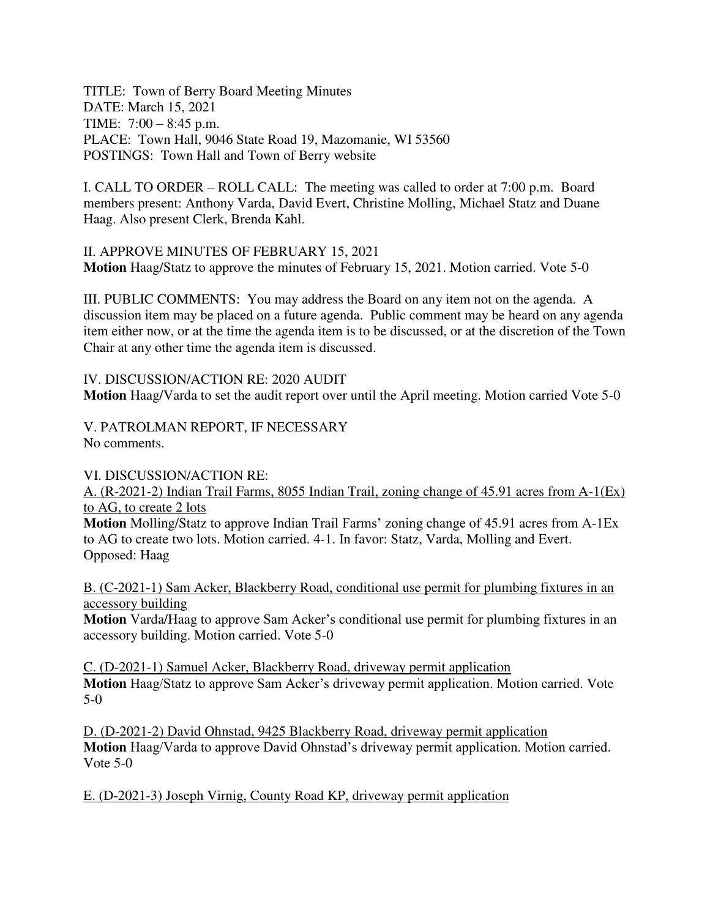TITLE: Town of Berry Board Meeting Minutes DATE: March 15, 2021 TIME: 7:00 – 8:45 p.m. PLACE: Town Hall, 9046 State Road 19, Mazomanie, WI 53560 POSTINGS: Town Hall and Town of Berry website

I. CALL TO ORDER – ROLL CALL: The meeting was called to order at 7:00 p.m. Board members present: Anthony Varda, David Evert, Christine Molling, Michael Statz and Duane Haag. Also present Clerk, Brenda Kahl.

II. APPROVE MINUTES OF FEBRUARY 15, 2021 **Motion** Haag/Statz to approve the minutes of February 15, 2021. Motion carried. Vote 5-0

III. PUBLIC COMMENTS: You may address the Board on any item not on the agenda. A discussion item may be placed on a future agenda. Public comment may be heard on any agenda item either now, or at the time the agenda item is to be discussed, or at the discretion of the Town Chair at any other time the agenda item is discussed.

IV. DISCUSSION/ACTION RE: 2020 AUDIT **Motion** Haag/Varda to set the audit report over until the April meeting. Motion carried Vote 5-0

V. PATROLMAN REPORT, IF NECESSARY No comments.

VI. DISCUSSION/ACTION RE:

A. (R-2021-2) Indian Trail Farms, 8055 Indian Trail, zoning change of 45.91 acres from A-1(Ex) to AG, to create 2 lots

**Motion** Molling/Statz to approve Indian Trail Farms' zoning change of 45.91 acres from A-1Ex to AG to create two lots. Motion carried. 4-1. In favor: Statz, Varda, Molling and Evert. Opposed: Haag

B. (C-2021-1) Sam Acker, Blackberry Road, conditional use permit for plumbing fixtures in an accessory building

**Motion** Varda/Haag to approve Sam Acker's conditional use permit for plumbing fixtures in an accessory building. Motion carried. Vote 5-0

C. (D-2021-1) Samuel Acker, Blackberry Road, driveway permit application **Motion** Haag/Statz to approve Sam Acker's driveway permit application. Motion carried. Vote 5-0

D. (D-2021-2) David Ohnstad, 9425 Blackberry Road, driveway permit application **Motion** Haag/Varda to approve David Ohnstad's driveway permit application. Motion carried. Vote 5-0

E. (D-2021-3) Joseph Virnig, County Road KP, driveway permit application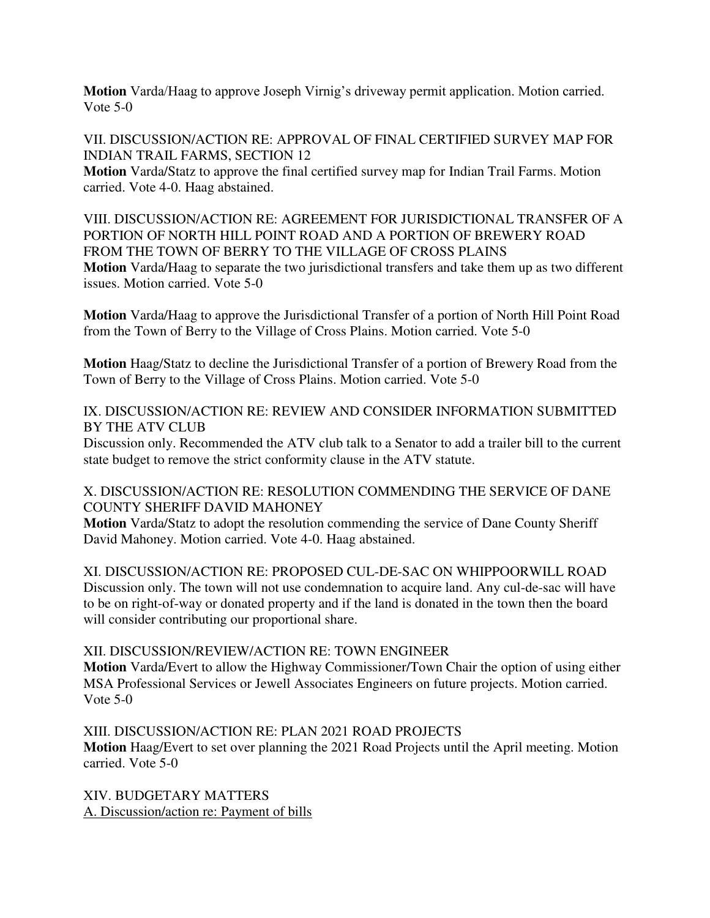**Motion** Varda/Haag to approve Joseph Virnig's driveway permit application. Motion carried. Vote 5-0

VII. DISCUSSION/ACTION RE: APPROVAL OF FINAL CERTIFIED SURVEY MAP FOR INDIAN TRAIL FARMS, SECTION 12

**Motion** Varda/Statz to approve the final certified survey map for Indian Trail Farms. Motion carried. Vote 4-0. Haag abstained.

VIII. DISCUSSION/ACTION RE: AGREEMENT FOR JURISDICTIONAL TRANSFER OF A PORTION OF NORTH HILL POINT ROAD AND A PORTION OF BREWERY ROAD FROM THE TOWN OF BERRY TO THE VILLAGE OF CROSS PLAINS **Motion** Varda/Haag to separate the two jurisdictional transfers and take them up as two different issues. Motion carried. Vote 5-0

**Motion** Varda/Haag to approve the Jurisdictional Transfer of a portion of North Hill Point Road from the Town of Berry to the Village of Cross Plains. Motion carried. Vote 5-0

**Motion** Haag/Statz to decline the Jurisdictional Transfer of a portion of Brewery Road from the Town of Berry to the Village of Cross Plains. Motion carried. Vote 5-0

IX. DISCUSSION/ACTION RE: REVIEW AND CONSIDER INFORMATION SUBMITTED BY THE ATV CLUB

Discussion only. Recommended the ATV club talk to a Senator to add a trailer bill to the current state budget to remove the strict conformity clause in the ATV statute.

X. DISCUSSION/ACTION RE: RESOLUTION COMMENDING THE SERVICE OF DANE COUNTY SHERIFF DAVID MAHONEY

**Motion** Varda/Statz to adopt the resolution commending the service of Dane County Sheriff David Mahoney. Motion carried. Vote 4-0. Haag abstained.

XI. DISCUSSION/ACTION RE: PROPOSED CUL-DE-SAC ON WHIPPOORWILL ROAD Discussion only. The town will not use condemnation to acquire land. Any cul-de-sac will have to be on right-of-way or donated property and if the land is donated in the town then the board will consider contributing our proportional share.

## XII. DISCUSSION/REVIEW/ACTION RE: TOWN ENGINEER

**Motion** Varda/Evert to allow the Highway Commissioner/Town Chair the option of using either MSA Professional Services or Jewell Associates Engineers on future projects. Motion carried. Vote 5-0

XIII. DISCUSSION/ACTION RE: PLAN 2021 ROAD PROJECTS **Motion** Haag/Evert to set over planning the 2021 Road Projects until the April meeting. Motion carried. Vote 5-0

XIV. BUDGETARY MATTERS A. Discussion/action re: Payment of bills